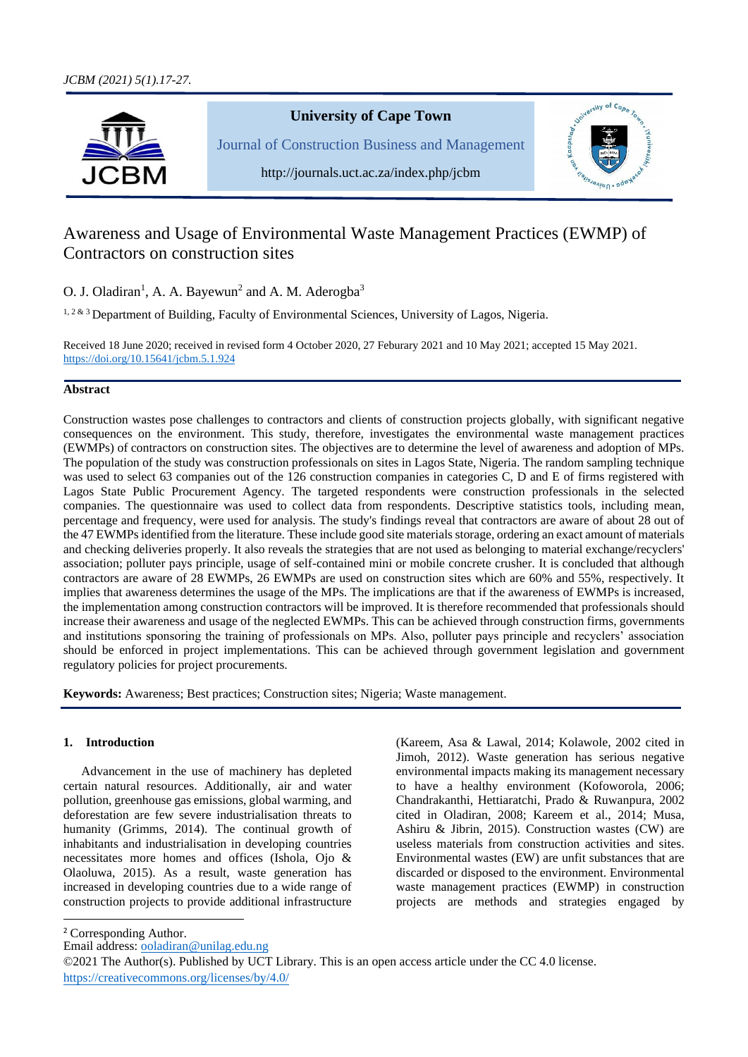

# Awareness and Usage of Environmental Waste Management Practices (EWMP) of Contractors on construction sites

O. J. Oladiran<sup>1</sup>, A. A. Bayewun<sup>2</sup> and A. M. Aderogba<sup>3</sup>

<sup>1, 2 & 3</sup> Department of Building, Faculty of Environmental Sciences, University of Lagos, Nigeria.

Received 18 June 2020; received in revised form 4 October 2020, 27 Feburary 2021 and 10 May 2021; accepted 15 May 2021. [https://doi.org/10.15641/jcbm.5.1.9](https://doi.org/10.15641/jcbm.5.1.)24

# **Abstract**

Construction wastes pose challenges to contractors and clients of construction projects globally, with significant negative consequences on the environment. This study, therefore, investigates the environmental waste management practices (EWMPs) of contractors on construction sites. The objectives are to determine the level of awareness and adoption of MPs. The population of the study was construction professionals on sites in Lagos State, Nigeria. The random sampling technique was used to select 63 companies out of the 126 construction companies in categories C, D and E of firms registered with Lagos State Public Procurement Agency. The targeted respondents were construction professionals in the selected companies. The questionnaire was used to collect data from respondents. Descriptive statistics tools, including mean, percentage and frequency, were used for analysis. The study's findings reveal that contractors are aware of about 28 out of the 47 EWMPs identified from the literature. These include good site materials storage, ordering an exact amount of materials and checking deliveries properly. It also reveals the strategies that are not used as belonging to material exchange/recyclers' association; polluter pays principle, usage of self-contained mini or mobile concrete crusher. It is concluded that although contractors are aware of 28 EWMPs, 26 EWMPs are used on construction sites which are 60% and 55%, respectively. It implies that awareness determines the usage of the MPs. The implications are that if the awareness of EWMPs is increased, the implementation among construction contractors will be improved. It is therefore recommended that professionals should increase their awareness and usage of the neglected EWMPs. This can be achieved through construction firms, governments and institutions sponsoring the training of professionals on MPs. Also, polluter pays principle and recyclers' association should be enforced in project implementations. This can be achieved through government legislation and government regulatory policies for project procurements.

**Keywords:** Awareness; Best practices; Construction sites; Nigeria; Waste management.

# **1. Introduction**

Advancement in the use of machinery has depleted certain natural resources. Additionally, air and water pollution, greenhouse gas emissions, global warming, and deforestation are few severe industrialisation threats to humanity (Grimms, 2014). The continual growth of inhabitants and industrialisation in developing countries necessitates more homes and offices (Ishola, Ojo & Olaoluwa, 2015). As a result, waste generation has increased in developing countries due to a wide range of construction projects to provide additional infrastructure

(Kareem, Asa & Lawal, 2014; Kolawole, 2002 cited in Jimoh, 2012). Waste generation has serious negative environmental impacts making its management necessary to have a healthy environment (Kofoworola, 2006; Chandrakanthi, Hettiaratchi, Prado & Ruwanpura, 2002 cited in Oladiran, 2008; Kareem et al., 2014; Musa, Ashiru & Jibrin, 2015). Construction wastes (CW) are useless materials from construction activities and sites. Environmental wastes (EW) are unfit substances that are discarded or disposed to the environment. Environmental waste management practices (EWMP) in construction projects are methods and strategies engaged by

<sup>2</sup> Corresponding Author.

Email address: [ooladiran@unilag.edu.ng](mailto:ooladiran@unilag.edu.ng)

<sup>©2021</sup> The Author(s). Published by UCT Library. This is an open access article under the CC 4.0 license. [https://creativecommons.org/licenses/by/4.0/](https://creativecommons.org/licenses/by-nc-sa/4.0/)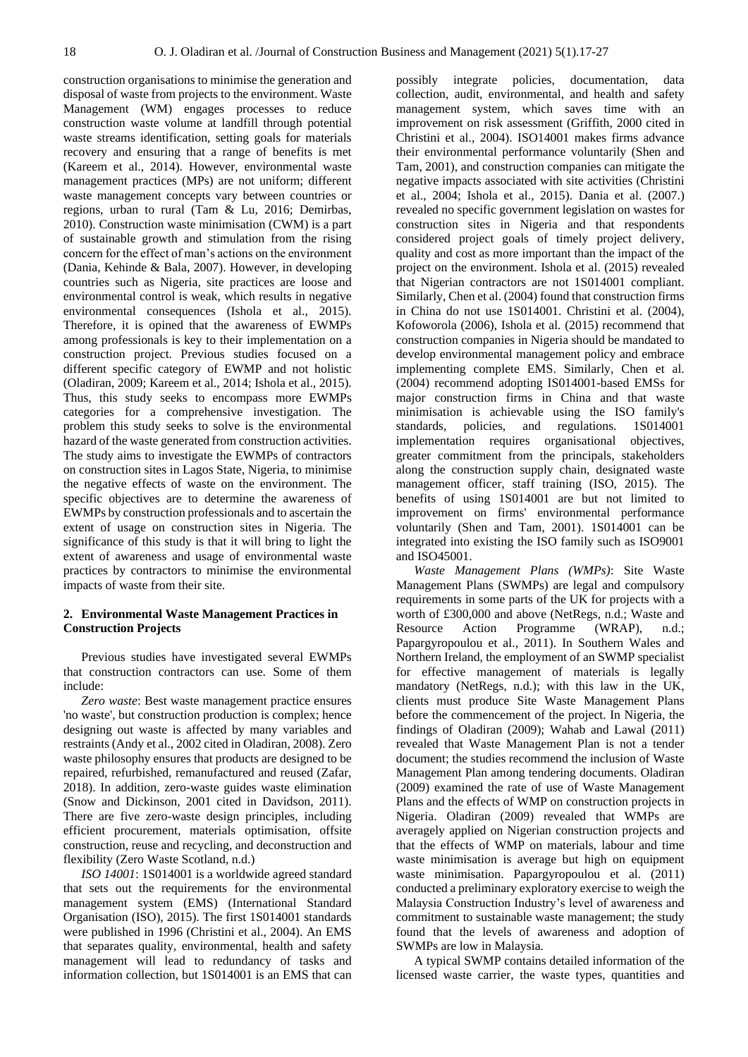construction organisations to minimise the generation and disposal of waste from projects to the environment. Waste Management (WM) engages processes to reduce construction waste volume at landfill through potential waste streams identification, setting goals for materials recovery and ensuring that a range of benefits is met (Kareem et al., 2014). However, environmental waste management practices (MPs) are not uniform; different waste management concepts vary between countries or regions, urban to rural (Tam & Lu, 2016; Demirbas, 2010). Construction waste minimisation (CWM) is a part of sustainable growth and stimulation from the rising concern for the effect of man's actions on the environment (Dania, Kehinde & Bala, 2007). However, in developing countries such as Nigeria, site practices are loose and environmental control is weak, which results in negative environmental consequences (Ishola et al., 2015). Therefore, it is opined that the awareness of EWMPs among professionals is key to their implementation on a construction project. Previous studies focused on a different specific category of EWMP and not holistic (Oladiran, 2009; Kareem et al., 2014; Ishola et al., 2015). Thus, this study seeks to encompass more EWMPs categories for a comprehensive investigation. The problem this study seeks to solve is the environmental hazard of the waste generated from construction activities. The study aims to investigate the EWMPs of contractors on construction sites in Lagos State, Nigeria, to minimise the negative effects of waste on the environment. The specific objectives are to determine the awareness of EWMPs by construction professionals and to ascertain the extent of usage on construction sites in Nigeria. The significance of this study is that it will bring to light the extent of awareness and usage of environmental waste practices by contractors to minimise the environmental impacts of waste from their site.

# **2. Environmental Waste Management Practices in Construction Projects**

Previous studies have investigated several EWMPs that construction contractors can use. Some of them include:

*Zero waste*: Best waste management practice ensures 'no waste', but construction production is complex; hence designing out waste is affected by many variables and restraints (Andy et al., 2002 cited in Oladiran, 2008). Zero waste philosophy ensures that products are designed to be repaired, refurbished, remanufactured and reused (Zafar, 2018). In addition, zero-waste guides waste elimination (Snow and Dickinson, 2001 cited in Davidson, 2011). There are five zero-waste design principles, including efficient procurement, materials optimisation, offsite construction, reuse and recycling, and deconstruction and flexibility (Zero Waste Scotland, n.d.)

*ISO 14001*: 1S014001 is a worldwide agreed standard that sets out the requirements for the environmental management system (EMS) (International Standard Organisation (ISO), 2015). The first 1S014001 standards were published in 1996 (Christini et al., 2004). An EMS that separates quality, environmental, health and safety management will lead to redundancy of tasks and information collection, but 1S014001 is an EMS that can

possibly integrate policies, documentation, data collection, audit, environmental, and health and safety management system, which saves time with an improvement on risk assessment (Griffith, 2000 cited in Christini et al., 2004). ISO14001 makes firms advance their environmental performance voluntarily (Shen and Tam, 2001), and construction companies can mitigate the negative impacts associated with site activities (Christini et al., 2004; Ishola et al., 2015). Dania et al. (2007.) revealed no specific government legislation on wastes for construction sites in Nigeria and that respondents considered project goals of timely project delivery, quality and cost as more important than the impact of the project on the environment. Ishola et al. (2015) revealed that Nigerian contractors are not 1S014001 compliant. Similarly, Chen et al. (2004) found that construction firms in China do not use 1S014001. Christini et al. (2004), Kofoworola (2006), Ishola et al. (2015) recommend that construction companies in Nigeria should be mandated to develop environmental management policy and embrace implementing complete EMS. Similarly, Chen et al. (2004) recommend adopting IS014001-based EMSs for major construction firms in China and that waste minimisation is achievable using the ISO family's standards, policies, and regulations. 1S014001 implementation requires organisational objectives, greater commitment from the principals, stakeholders along the construction supply chain, designated waste management officer, staff training (ISO, 2015). The benefits of using 1S014001 are but not limited to improvement on firms' environmental performance voluntarily (Shen and Tam, 2001). 1S014001 can be integrated into existing the ISO family such as ISO9001 and ISO45001.

*Waste Management Plans (WMPs)*: Site Waste Management Plans (SWMPs) are legal and compulsory requirements in some parts of the UK for projects with a worth of £300,000 and above (NetRegs, n.d.; Waste and Resource Action Programme (WRAP), n.d.; Papargyropoulou et al., 2011). In Southern Wales and Northern Ireland, the employment of an SWMP specialist for effective management of materials is legally mandatory (NetRegs, n.d.); with this law in the UK, clients must produce Site Waste Management Plans before the commencement of the project. In Nigeria, the findings of Oladiran (2009); Wahab and Lawal (2011) revealed that Waste Management Plan is not a tender document; the studies recommend the inclusion of Waste Management Plan among tendering documents. Oladiran (2009) examined the rate of use of Waste Management Plans and the effects of WMP on construction projects in Nigeria. Oladiran (2009) revealed that WMPs are averagely applied on Nigerian construction projects and that the effects of WMP on materials, labour and time waste minimisation is average but high on equipment waste minimisation. Papargyropoulou et al. (2011) conducted a preliminary exploratory exercise to weigh the Malaysia Construction Industry's level of awareness and commitment to sustainable waste management; the study found that the levels of awareness and adoption of SWMPs are low in Malaysia.

A typical SWMP contains detailed information of the licensed waste carrier, the waste types, quantities and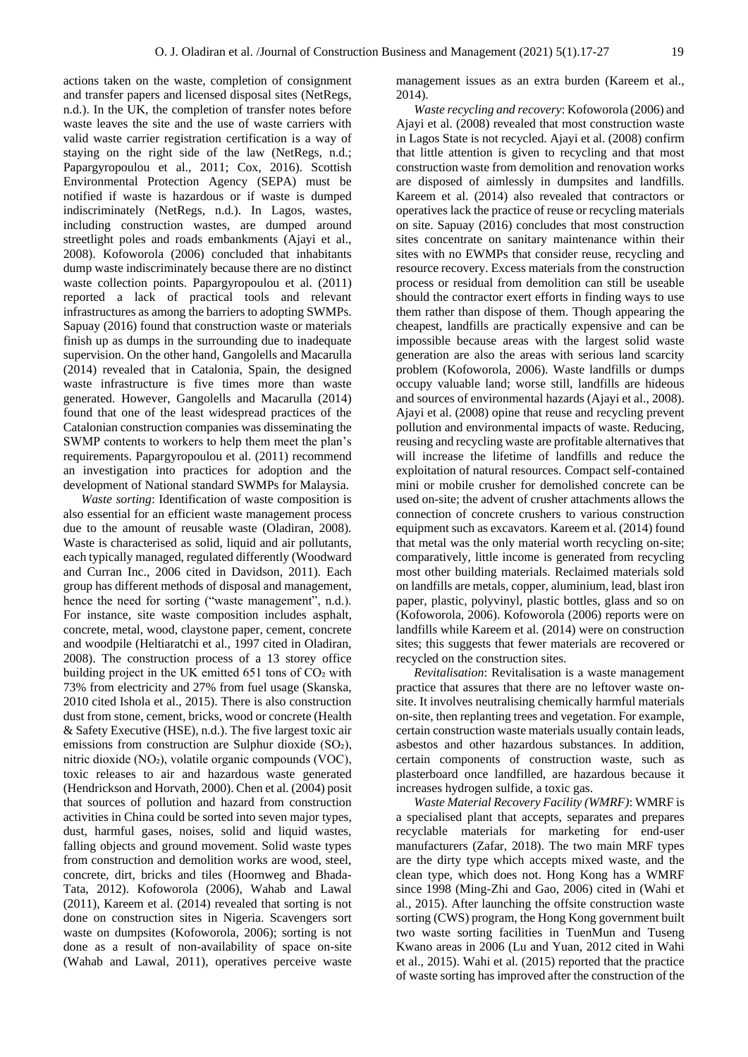actions taken on the waste, completion of consignment and transfer papers and licensed disposal sites (NetRegs, n.d.). In the UK, the completion of transfer notes before waste leaves the site and the use of waste carriers with valid waste carrier registration certification is a way of staying on the right side of the law (NetRegs, n.d.; Papargyropoulou et al., 2011; Cox, 2016). Scottish Environmental Protection Agency (SEPA) must be notified if waste is hazardous or if waste is dumped indiscriminately (NetRegs, n.d.). In Lagos, wastes, including construction wastes, are dumped around streetlight poles and roads embankments (Ajayi et al., 2008). Kofoworola (2006) concluded that inhabitants dump waste indiscriminately because there are no distinct waste collection points. Papargyropoulou et al. (2011) reported a lack of practical tools and relevant infrastructures as among the barriers to adopting SWMPs. Sapuay (2016) found that construction waste or materials finish up as dumps in the surrounding due to inadequate supervision. On the other hand, Gangolells and Macarulla (2014) revealed that in Catalonia, Spain, the designed waste infrastructure is five times more than waste generated. However, Gangolells and Macarulla (2014) found that one of the least widespread practices of the Catalonian construction companies was disseminating the SWMP contents to workers to help them meet the plan's requirements. Papargyropoulou et al. (2011) recommend an investigation into practices for adoption and the development of National standard SWMPs for Malaysia.

*Waste sorting*: Identification of waste composition is also essential for an efficient waste management process due to the amount of reusable waste (Oladiran, 2008). Waste is characterised as solid, liquid and air pollutants, each typically managed, regulated differently (Woodward and Curran Inc., 2006 cited in Davidson, 2011). Each group has different methods of disposal and management, hence the need for sorting ("waste management", n.d.). For instance, site waste composition includes asphalt, concrete, metal, wood, claystone paper, cement, concrete and woodpile (Heltiaratchi et al., 1997 cited in Oladiran, 2008). The construction process of a 13 storey office building project in the UK emitted 651 tons of CO2 with 73% from electricity and 27% from fuel usage (Skanska, 2010 cited Ishola et al., 2015). There is also construction dust from stone, cement, bricks, wood or concrete (Health & Safety Executive (HSE), n.d.). The five largest toxic air emissions from construction are Sulphur dioxide (SO2), nitric dioxide (NO₂), volatile organic compounds (VOC), toxic releases to air and hazardous waste generated (Hendrickson and Horvath, 2000). Chen et al. (2004) posit that sources of pollution and hazard from construction activities in China could be sorted into seven major types, dust, harmful gases, noises, solid and liquid wastes, falling objects and ground movement. Solid waste types from construction and demolition works are wood, steel, concrete, dirt, bricks and tiles (Hoornweg and Bhada-Tata, 2012). Kofoworola (2006), Wahab and Lawal (2011), Kareem et al. (2014) revealed that sorting is not done on construction sites in Nigeria. Scavengers sort waste on dumpsites (Kofoworola, 2006); sorting is not done as a result of non-availability of space on-site (Wahab and Lawal, 2011), operatives perceive waste

management issues as an extra burden (Kareem et al., 2014).

*Waste recycling and recovery*: Kofoworola (2006) and Ajayi et al. (2008) revealed that most construction waste in Lagos State is not recycled. Ajayi et al. (2008) confirm that little attention is given to recycling and that most construction waste from demolition and renovation works are disposed of aimlessly in dumpsites and landfills. Kareem et al. (2014) also revealed that contractors or operatives lack the practice of reuse or recycling materials on site. Sapuay (2016) concludes that most construction sites concentrate on sanitary maintenance within their sites with no EWMPs that consider reuse, recycling and resource recovery. Excess materials from the construction process or residual from demolition can still be useable should the contractor exert efforts in finding ways to use them rather than dispose of them. Though appearing the cheapest, landfills are practically expensive and can be impossible because areas with the largest solid waste generation are also the areas with serious land scarcity problem (Kofoworola, 2006). Waste landfills or dumps occupy valuable land; worse still, landfills are hideous and sources of environmental hazards (Ajayi et al., 2008). Ajayi et al. (2008) opine that reuse and recycling prevent pollution and environmental impacts of waste. Reducing, reusing and recycling waste are profitable alternatives that will increase the lifetime of landfills and reduce the exploitation of natural resources. Compact self-contained mini or mobile crusher for demolished concrete can be used on-site; the advent of crusher attachments allows the connection of concrete crushers to various construction equipment such as excavators. Kareem et al. (2014) found that metal was the only material worth recycling on-site; comparatively, little income is generated from recycling most other building materials. Reclaimed materials sold on landfills are metals, copper, aluminium, lead, blast iron paper, plastic, polyvinyl, plastic bottles, glass and so on (Kofoworola, 2006). Kofoworola (2006) reports were on landfills while Kareem et al. (2014) were on construction sites; this suggests that fewer materials are recovered or recycled on the construction sites.

*Revitalisation*: Revitalisation is a waste management practice that assures that there are no leftover waste onsite. It involves neutralising chemically harmful materials on-site, then replanting trees and vegetation. For example, certain construction waste materials usually contain leads, asbestos and other hazardous substances. In addition, certain components of construction waste, such as plasterboard once landfilled, are hazardous because it increases hydrogen sulfide, a toxic gas.

*Waste Material Recovery Facility (WMRF)*: WMRF is a specialised plant that accepts, separates and prepares recyclable materials for marketing for end-user manufacturers (Zafar, 2018). The two main MRF types are the dirty type which accepts mixed waste, and the clean type, which does not. Hong Kong has a WMRF since 1998 (Ming-Zhi and Gao, 2006) cited in (Wahi et al., 2015). After launching the offsite construction waste sorting (CWS) program, the Hong Kong government built two waste sorting facilities in TuenMun and Tuseng Kwano areas in 2006 (Lu and Yuan, 2012 cited in Wahi et al., 2015). Wahi et al. (2015) reported that the practice of waste sorting has improved after the construction of the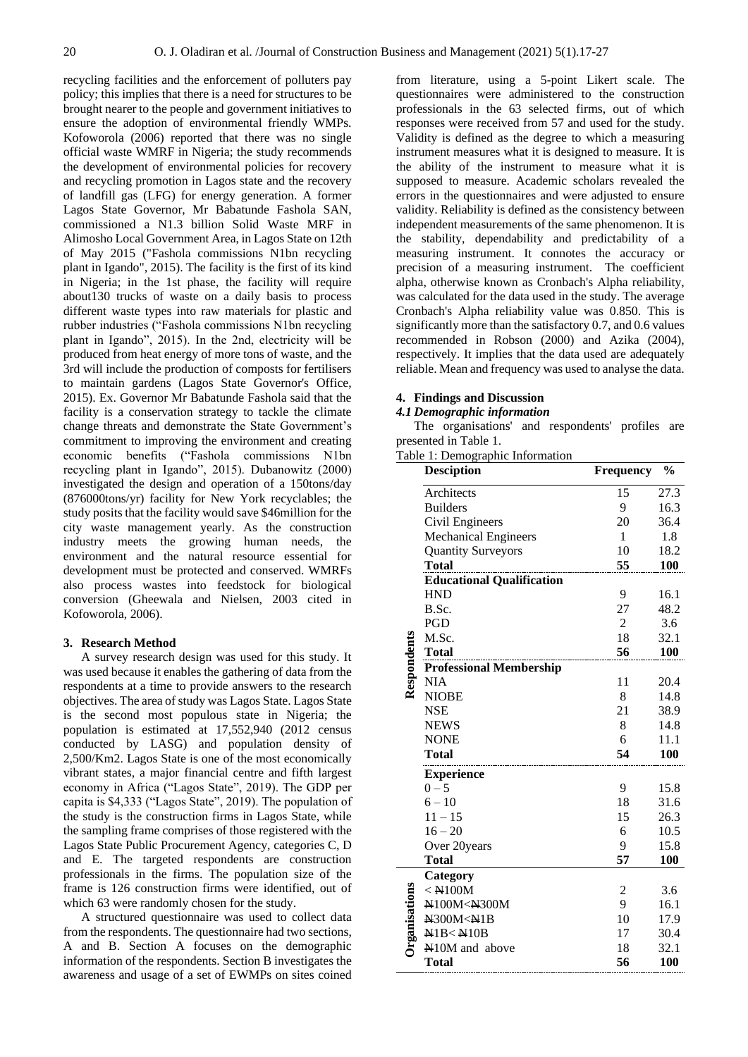recycling facilities and the enforcement of polluters pay policy; this implies that there is a need for structures to be brought nearer to the people and government initiatives to ensure the adoption of environmental friendly WMPs. Kofoworola (2006) reported that there was no single official waste WMRF in Nigeria; the study recommends the development of environmental policies for recovery and recycling promotion in Lagos state and the recovery of landfill gas (LFG) for energy generation. A former Lagos State Governor, Mr Babatunde Fashola SAN, commissioned a N1.3 billion Solid Waste MRF in Alimosho Local Government Area, in Lagos State on 12th of May 2015 ("Fashola commissions N1bn recycling plant in Igando", 2015). The facility is the first of its kind in Nigeria; in the 1st phase, the facility will require about130 trucks of waste on a daily basis to process different waste types into raw materials for plastic and rubber industries ("Fashola commissions N1bn recycling plant in Igando", 2015). In the 2nd, electricity will be produced from heat energy of more tons of waste, and the 3rd will include the production of composts for fertilisers to maintain gardens (Lagos State Governor's Office, 2015). Ex. Governor Mr Babatunde Fashola said that the facility is a conservation strategy to tackle the climate change threats and demonstrate the State Government's commitment to improving the environment and creating economic benefits ("Fashola commissions N1bn recycling plant in Igando", 2015). Dubanowitz (2000) investigated the design and operation of a 150tons/day (876000tons/yr) facility for New York recyclables; the study posits that the facility would save \$46million for the city waste management yearly. As the construction industry meets the growing human needs, the environment and the natural resource essential for development must be protected and conserved. WMRFs also process wastes into feedstock for biological conversion (Gheewala and Nielsen, 2003 cited in Kofoworola, 2006).

#### **3. Research Method**

A survey research design was used for this study. It was used because it enables the gathering of data from the respondents at a time to provide answers to the research objectives. The area of study was Lagos State. Lagos State is the second most populous state in Nigeria; the population is estimated at 17,552,940 (2012 census conducted by LASG) and population density of 2,500/Km2. Lagos State is one of the most economically vibrant states, a major financial centre and fifth largest economy in Africa ("Lagos State", 2019). The GDP per capita is \$4,333 ("Lagos State", 2019). The population of the study is the construction firms in Lagos State, while the sampling frame comprises of those registered with the Lagos State Public Procurement Agency, categories C, D and E. The targeted respondents are construction professionals in the firms. The population size of the frame is 126 construction firms were identified, out of which 63 were randomly chosen for the study.

A structured questionnaire was used to collect data from the respondents. The questionnaire had two sections, A and B. Section A focuses on the demographic information of the respondents. Section B investigates the awareness and usage of a set of EWMPs on sites coined

from literature, using a 5-point Likert scale. The questionnaires were administered to the construction professionals in the 63 selected firms, out of which responses were received from 57 and used for the study. Validity is defined as the degree to which a measuring instrument measures what it is designed to measure. It is the ability of the instrument to measure what it is supposed to measure. Academic scholars revealed the errors in the questionnaires and were adjusted to ensure validity. Reliability is defined as the consistency between independent measurements of the same phenomenon. It is the stability, dependability and predictability of a measuring instrument. It connotes the accuracy or precision of a measuring instrument. The coefficient alpha, otherwise known as Cronbach's Alpha reliability, was calculated for the data used in the study. The average Cronbach's Alpha reliability value was 0.850. This is significantly more than the satisfactory 0.7, and 0.6 values recommended in Robson (2000) and Azika (2004), respectively. It implies that the data used are adequately reliable. Mean and frequency was used to analyse the data.

## **4. Findings and Discussion**

## *4.1 Demographic information*

The organisations' and respondents' profiles are presented in Table 1.

Table 1: Demographic Information

|               | <b>Desciption</b>                                    | <b>Frequency</b> | $\frac{0}{0}$ |
|---------------|------------------------------------------------------|------------------|---------------|
|               | Architects                                           | 15               | 27.3          |
|               | <b>Builders</b>                                      | 9                | 16.3          |
|               | Civil Engineers                                      | 20               | 36.4          |
|               | <b>Mechanical Engineers</b>                          | 1                | 1.8           |
|               | <b>Quantity Surveyors</b>                            | 10               | 18.2          |
|               | <b>Total</b>                                         | 55               | <b>100</b>    |
|               | <b>Educational Qualification</b>                     |                  |               |
|               | <b>HND</b>                                           | 9                | 16.1          |
|               | B.Sc.                                                | 27               | 48.2          |
|               | PGD                                                  | $\overline{2}$   | 3.6           |
|               | M.Sc.                                                | 18               | 32.1          |
|               | <b>Total</b>                                         | 56               | 100           |
|               | <b>Professional Membership</b>                       |                  |               |
| Respondents   | <b>NIA</b>                                           | 11               | 20.4          |
|               | <b>NIOBE</b>                                         | 8                | 14.8          |
|               | <b>NSE</b>                                           | 21               | 38.9          |
|               | <b>NEWS</b>                                          | 8                | 14.8          |
|               | <b>NONE</b>                                          | 6                | 11.1          |
|               | <b>Total</b>                                         | 54               | 100           |
|               | <b>Experience</b>                                    |                  |               |
|               | $0 - 5$                                              | 9                | 15.8          |
|               | $6 - 10$                                             | 18               | 31.6          |
|               | $11 - 15$                                            | 15               | 26.3          |
|               | $16 - 20$                                            | 6                | 10.5          |
|               | Over 20years                                         | 9                | 15.8          |
|               | Total                                                | 57               | 100           |
|               | Category                                             |                  |               |
|               | $<$ N100M                                            | 2                | 3.6           |
|               | N100M <n300m< td=""><td>9</td><td>16.1</td></n300m<> | 9                | 16.1          |
| Organisations | N300M <n1b< td=""><td>10</td><td>17.9</td></n1b<>    | 10               | 17.9          |
|               | N1B < N10B                                           | 17               | 30.4          |
|               | N10M and above                                       | 18               | 32.1          |
|               | <b>Total</b>                                         | 56               | <b>100</b>    |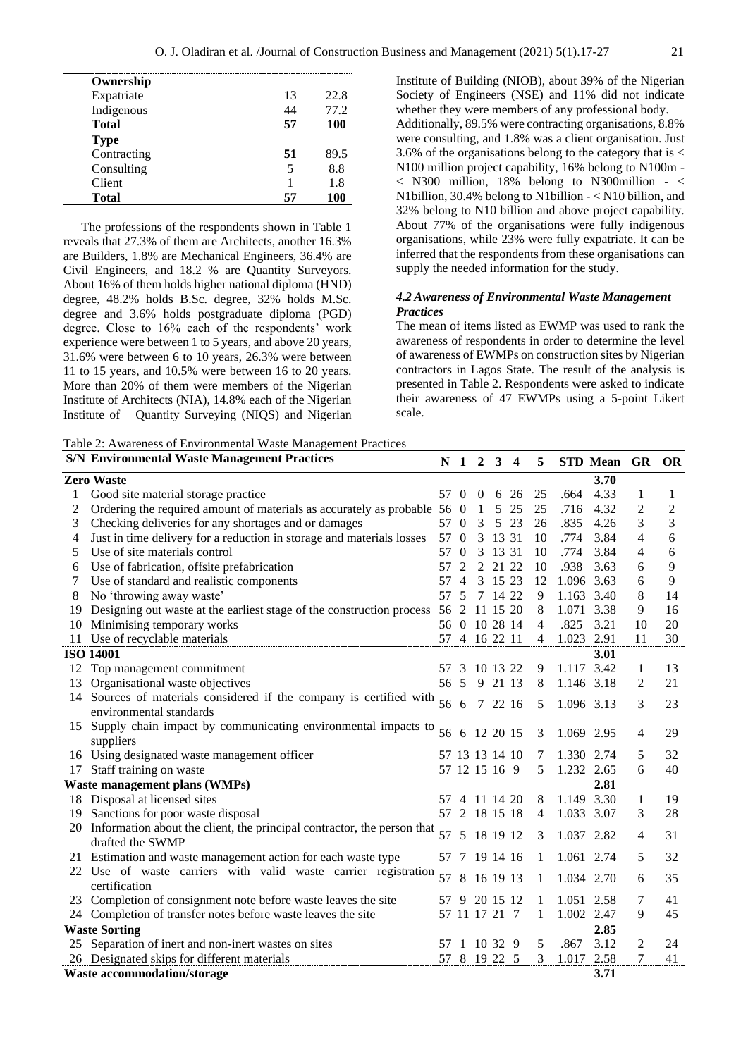| Ownership    |    |      |
|--------------|----|------|
| Expatriate   | 13 | 22.8 |
| Indigenous   | 44 | 77.2 |
| <b>Total</b> | 57 | 100  |
| <b>Type</b>  |    |      |
| Contracting  | 51 | 89.5 |
| Consulting   | 5  | 8.8  |
| Client       |    | 1.8  |
| <b>Total</b> | 57 | 100  |

The professions of the respondents shown in Table 1 reveals that 27.3% of them are Architects, another 16.3% are Builders, 1.8% are Mechanical Engineers, 36.4% are Civil Engineers, and 18.2 % are Quantity Surveyors. About 16% of them holds higher national diploma (HND) degree, 48.2% holds B.Sc. degree, 32% holds M.Sc. degree and 3.6% holds postgraduate diploma (PGD) degree. Close to 16% each of the respondents' work experience were between 1 to 5 years, and above 20 years, 31.6% were between 6 to 10 years, 26.3% were between 11 to 15 years, and 10.5% were between 16 to 20 years. More than 20% of them were members of the Nigerian Institute of Architects (NIA), 14.8% each of the Nigerian Institute of Quantity Surveying (NIQS) and Nigerian Institute of Building (NIOB), about 39% of the Nigerian Society of Engineers (NSE) and 11% did not indicate whether they were members of any professional body. Additionally, 89.5% were contracting organisations, 8.8% were consulting, and 1.8% was a client organisation. Just 3.6% of the organisations belong to the category that is < N100 million project capability, 16% belong to N100m -  $<$  N300 million, 18% belong to N300million -  $<$ N1billion, 30.4% belong to N1billion - < N10 billion, and 32% belong to N10 billion and above project capability. About 77% of the organisations were fully indigenous organisations, while 23% were fully expatriate. It can be inferred that the respondents from these organisations can supply the needed information for the study.

# *4.2 Awareness of Environmental Waste Management Practices*

The mean of items listed as EWMP was used to rank the awareness of respondents in order to determine the level of awareness of EWMPs on construction sites by Nigerian contractors in Lagos State. The result of the analysis is presented in Table 2. Respondents were asked to indicate their awareness of 47 EWMPs using a 5-point Likert scale.

Table 2: Awareness of Environmental Waste Management Practices

|    | <b>S/N Environmental Waste Management Practices</b>                        | N    | 1                | $\overline{2}$ | 3 <sup>1</sup> | $\overline{\mathbf{4}}$ | 5              |            | STD Mean GR |                | <b>OR</b>      |
|----|----------------------------------------------------------------------------|------|------------------|----------------|----------------|-------------------------|----------------|------------|-------------|----------------|----------------|
|    | <b>Zero Waste</b>                                                          |      |                  |                |                |                         |                |            | 3.70        |                |                |
| 1  | Good site material storage practice                                        | 57 0 |                  | $\bf{0}$       |                | 6 26                    | 25             | .664       | 4.33        | 1              | 1              |
| 2  | Ordering the required amount of materials as accurately as probable 56     |      | $\theta$         | 1              | 5              | 25                      | 25             | .716       | 4.32        | $\overline{c}$ | $\overline{2}$ |
| 3  | Checking deliveries for any shortages and or damages                       | 57   | $\overline{0}$   | 3              | 5              | 23                      | 26             | .835       | 4.26        | 3              | 3              |
| 4  | Just in time delivery for a reduction in storage and materials losses      | 57   | $\boldsymbol{0}$ | 3              | 13 31          |                         | 10             | .774       | 3.84        | 4              | 6              |
| 5  | Use of site materials control                                              | 57   | $\boldsymbol{0}$ | 3              | 13 31          |                         | 10             | .774       | 3.84        | 4              | 6              |
| 6  | Use of fabrication, offsite prefabrication                                 | 57   | $\overline{2}$   | $\overline{2}$ | 21 22          |                         | 10             | .938       | 3.63        | 6              | 9              |
| 7  | Use of standard and realistic components                                   | 57   | $\overline{4}$   |                | 3 15 23        |                         | 12             |            | 1.096 3.63  | 6              | 9              |
| 8  | No 'throwing away waste'                                                   | 57   | 5                |                | 7 14 22        |                         | 9              |            | 1.163 3.40  | 8              | 14             |
| 19 | Designing out waste at the earliest stage of the construction process      | 56   | 2                | 11 15 20       |                |                         | 8              |            | 1.071 3.38  | 9              | 16             |
| 10 | Minimising temporary works                                                 |      |                  | 56 0 10 28 14  |                |                         | $\overline{4}$ | .825       | 3.21        | 10             | 20             |
| 11 | Use of recyclable materials                                                |      |                  | 57 4 16 22 11  |                |                         | $\overline{4}$ | 1.023 2.91 |             | 11             | 30             |
|    | <b>ISO 14001</b>                                                           |      |                  |                |                |                         |                |            | 3.01        |                |                |
| 12 | Top management commitment                                                  | 57   | 3                | 10 13 22       |                |                         | 9              |            | 1.117 3.42  | 1              | 13             |
| 13 | Organisational waste objectives                                            | 56 5 |                  |                | 9 21 13        |                         | 8              | 1.146 3.18 |             | $\overline{c}$ | 21             |
| 14 | Sources of materials considered if the company is certified with           | 56   | 6                |                | 7 22 16        |                         | 5              |            | 1.096 3.13  | 3              | 23             |
|    | environmental standards                                                    |      |                  |                |                |                         |                |            |             |                |                |
| 15 | Supply chain impact by communicating environmental impacts to              | 56   | 6                | 12 20 15       |                |                         | 3              |            | 1.069 2.95  | 4              | 29             |
|    | suppliers                                                                  |      |                  |                |                |                         |                |            |             |                |                |
|    | 16 Using designated waste management officer                               |      |                  | 57 13 13 14 10 |                |                         | 7              | 1.330 2.74 |             | 5              | 32             |
|    | 17 Staff training on waste                                                 |      |                  | 57 12 15 16 9  |                |                         | 5              | 1.232 2.65 |             | 6              | 40             |
|    | <b>Waste management plans (WMPs)</b>                                       |      |                  |                |                |                         |                |            | 2.81        |                |                |
|    | 18 Disposal at licensed sites                                              | 57   |                  | 4 11 14 20     |                |                         | 8              |            | 1.149 3.30  | 1              | 19             |
| 19 | Sanctions for poor waste disposal                                          | 57   | 2                | 18 15 18       |                |                         | 4              | 1.033 3.07 |             | 3              | 28             |
|    | 20 Information about the client, the principal contractor, the person that | 57   | 5                |                | 18 19 12       |                         | 3              | 1.037 2.82 |             | 4              | 31             |
|    | drafted the SWMP                                                           |      |                  |                |                |                         |                |            |             |                |                |
|    | 21 Estimation and waste management action for each waste type              | 57   | 7                | 19 14 16       |                |                         | 1              |            | 1.061 2.74  | 5              | 32             |
|    | 22 Use of waste carriers with valid waste carrier registration             | 57   | 8                |                | 16 19 13       |                         | 1              | 1.034 2.70 |             | 6              | 35             |
|    | certification                                                              |      |                  |                |                |                         |                |            |             |                |                |
|    | 23 Completion of consignment note before waste leaves the site             | 57   | 9                |                | 20 15 12       |                         | 1              | 1.051      | 2.58        | 7              | 41             |
|    | 24 Completion of transfer notes before waste leaves the site               |      |                  | 57 11 17 21 7  |                |                         | 1              | 1.002      | 2.47        | 9              | 45             |
|    | <b>Waste Sorting</b>                                                       |      |                  |                |                |                         |                |            | 2.85        |                |                |
|    | 25 Separation of inert and non-inert wastes on sites                       | 57   | -1               | 10 32 9        |                |                         | 5              | .867       | 3.12        | 2              | 24             |
|    | 26 Designated skips for different materials                                | 57   | 8                | 19 22 5        |                |                         | 3              |            | 1.017 2.58  | 7              | 41             |
|    | <b>Waste accommodation/storage</b>                                         |      |                  |                |                |                         |                |            | 3.71        |                |                |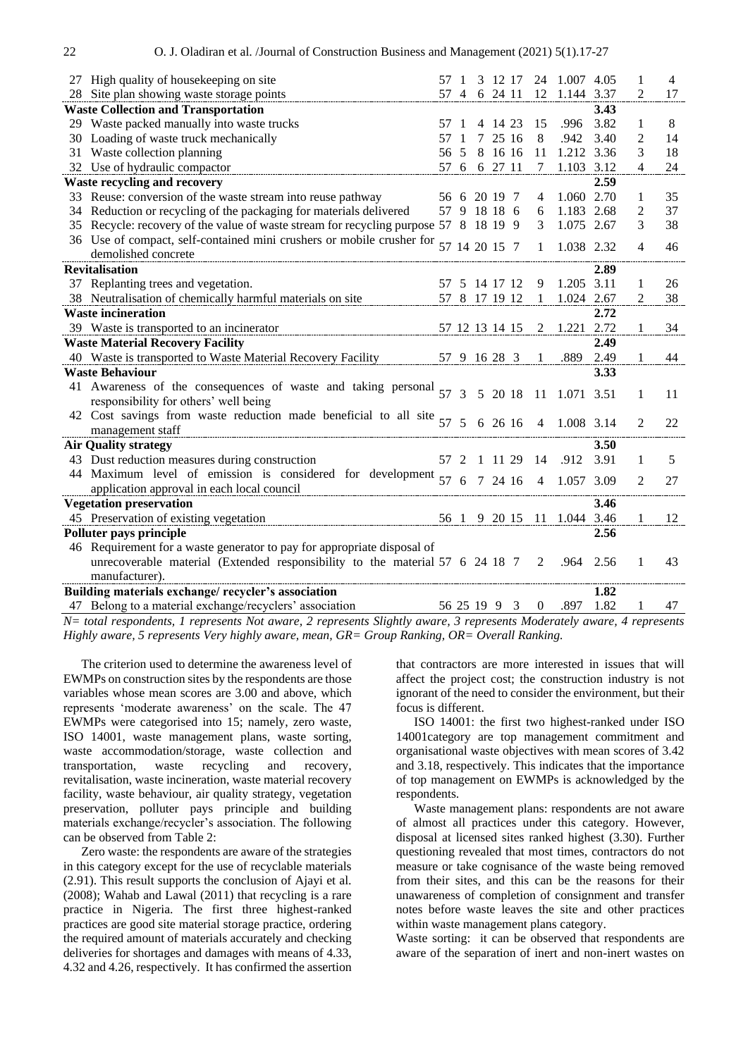|    | 27 High quality of housekeeping on site                                                                   | 57   |               |            | 3 12 17        |         | 24           | 1.007 4.05 |      |                | $\overline{4}$ |
|----|-----------------------------------------------------------------------------------------------------------|------|---------------|------------|----------------|---------|--------------|------------|------|----------------|----------------|
|    | 28 Site plan showing waste storage points                                                                 |      |               |            | 57 4 6 24 11   |         | 12           | 1.144 3.37 |      | 2              | 17             |
|    | <b>Waste Collection and Transportation</b>                                                                |      |               |            |                |         |              |            | 3.43 |                |                |
|    | 29 Waste packed manually into waste trucks                                                                | 57   |               |            | 4 14 23        |         | 15           | .996       | 3.82 | 1              | $\,8$          |
|    | 30 Loading of waste truck mechanically                                                                    | 57   |               | 7          | 25 16          |         | 8            | .942       | 3.40 | 2              | 14             |
|    | 31 Waste collection planning                                                                              | 56   | 5             |            |                | 8 16 16 | 11           | 1.212 3.36 |      | 3              | 18             |
|    | 32 Use of hydraulic compactor                                                                             |      |               |            | 57 6 6 27 11   |         | $\tau$       | 1.103 3.12 |      | 4              | 24             |
|    | <b>Waste recycling and recovery</b>                                                                       |      |               |            |                |         |              |            | 2.59 |                |                |
|    | 33 Reuse: conversion of the waste stream into reuse pathway                                               |      |               |            | 56 6 20 19 7   |         | 4            | 1.060 2.70 |      | 1              | 35             |
|    | 34 Reduction or recycling of the packaging for materials delivered                                        |      |               |            | 57 9 18 18 6   |         | 6            | 1.183 2.68 |      | 2              | 37             |
| 35 | Recycle: recovery of the value of waste stream for recycling purpose 57 8 18 19 9                         |      |               |            |                |         | 3            | 1.075 2.67 |      | 3              | 38             |
|    | 36 Use of compact, self-contained mini crushers or mobile crusher for<br>demolished concrete              |      |               |            | 14 20 15 7     |         | 1            | 1.038 2.32 |      | 4              | 46             |
|    | <b>Revitalisation</b>                                                                                     |      |               |            |                |         |              |            | 2.89 |                |                |
|    | 37 Replanting trees and vegetation.                                                                       | 57   |               |            | 5 14 17 12     |         | 9            | 1.205 3.11 |      | 1              | 26             |
|    | 38 Neutralisation of chemically harmful materials on site                                                 |      |               |            | 57 8 17 19 12  |         | 1            | 1.024 2.67 |      | 2              | 38             |
|    | <b>Waste incineration</b>                                                                                 |      |               |            |                |         |              |            | 2.72 |                |                |
|    | 39 Waste is transported to an incinerator                                                                 |      |               |            | 57 12 13 14 15 |         | 2            | 1.221      | 2.72 | $\mathbf{1}$   | 34             |
|    | <b>Waste Material Recovery Facility</b>                                                                   |      |               |            |                |         |              |            | 2.49 |                |                |
|    | 40 Waste is transported to Waste Material Recovery Facility                                               |      |               |            | 57 9 16 28 3   |         | 1            | .889       | 2.49 | 1              | 44             |
|    | <b>Waste Behaviour</b>                                                                                    |      |               |            |                |         |              |            | 3.33 |                |                |
|    | 41 Awareness of the consequences of waste and taking personal 57<br>responsibility for others' well being |      | $\mathcal{E}$ |            |                | 5 20 18 | 11           | 1.071 3.51 |      | 1              | 11             |
|    | 42 Cost savings from waste reduction made beneficial to all site $57$<br>management staff                 |      | $\sqrt{5}$    |            |                | 6 26 16 | 4            | 1.008 3.14 |      | $\mathfrak{D}$ | 22             |
|    | <b>Air Quality strategy</b>                                                                               |      |               |            |                |         |              |            | 3.50 |                |                |
|    | 43 Dust reduction measures during construction                                                            | 57 2 |               | -1         |                | 11 29   | 14           | .912       | 3.91 | 1              | 5              |
|    | 44 Maximum level of emission is considered for development                                                |      |               |            |                |         |              |            |      |                |                |
|    | application approval in each local council                                                                | 57   | 6             |            |                | 7 24 16 | 4            | 1.057      | 3.09 | 2              | 27             |
|    | <b>Vegetation preservation</b>                                                                            |      |               |            |                |         |              |            | 3.46 |                |                |
|    | 45 Preservation of existing vegetation                                                                    |      | 56 1          |            | 9 20 15        |         | -11          | 1.044 3.46 |      | 1              | 12             |
|    | Polluter pays principle                                                                                   |      |               |            |                |         |              |            | 2.56 |                |                |
|    | 46 Requirement for a waste generator to pay for appropriate disposal of                                   |      |               |            |                |         |              |            |      |                |                |
|    | unrecoverable material (Extended responsibility to the material $57\,6\,24\,18\,7$<br>manufacturer).      |      |               |            |                |         | 2            | .964       | 2.56 | 1              | 43             |
|    | Building materials exchange/recycler's association                                                        |      |               |            |                |         |              |            | 1.82 |                |                |
|    | 47 Belong to a material exchange/recyclers' association                                                   |      |               | 56 25 19 9 |                | 3       | $\mathbf{0}$ | .897       | 1.82 | 1              | 47             |
|    |                                                                                                           |      |               |            |                |         |              |            |      |                |                |

*N= total respondents, 1 represents Not aware, 2 represents Slightly aware, 3 represents Moderately aware, 4 represents Highly aware, 5 represents Very highly aware, mean, GR= Group Ranking, OR= Overall Ranking.*

The criterion used to determine the awareness level of EWMPs on construction sites by the respondents are those variables whose mean scores are 3.00 and above, which represents 'moderate awareness' on the scale. The 47 EWMPs were categorised into 15; namely, zero waste, ISO 14001, waste management plans, waste sorting, waste accommodation/storage, waste collection and transportation, waste recycling and recovery, revitalisation, waste incineration, waste material recovery facility, waste behaviour, air quality strategy, vegetation preservation, polluter pays principle and building materials exchange/recycler's association. The following can be observed from Table 2:

Zero waste: the respondents are aware of the strategies in this category except for the use of recyclable materials (2.91). This result supports the conclusion of Ajayi et al. (2008); Wahab and Lawal (2011) that recycling is a rare practice in Nigeria. The first three highest-ranked practices are good site material storage practice, ordering the required amount of materials accurately and checking deliveries for shortages and damages with means of 4.33, 4.32 and 4.26, respectively. It has confirmed the assertion

that contractors are more interested in issues that will affect the project cost; the construction industry is not ignorant of the need to consider the environment, but their focus is different.

ISO 14001: the first two highest-ranked under ISO 14001category are top management commitment and organisational waste objectives with mean scores of 3.42 and 3.18, respectively. This indicates that the importance of top management on EWMPs is acknowledged by the respondents.

Waste management plans: respondents are not aware of almost all practices under this category. However, disposal at licensed sites ranked highest (3.30). Further questioning revealed that most times, contractors do not measure or take cognisance of the waste being removed from their sites, and this can be the reasons for their unawareness of completion of consignment and transfer notes before waste leaves the site and other practices within waste management plans category.

Waste sorting: it can be observed that respondents are aware of the separation of inert and non-inert wastes on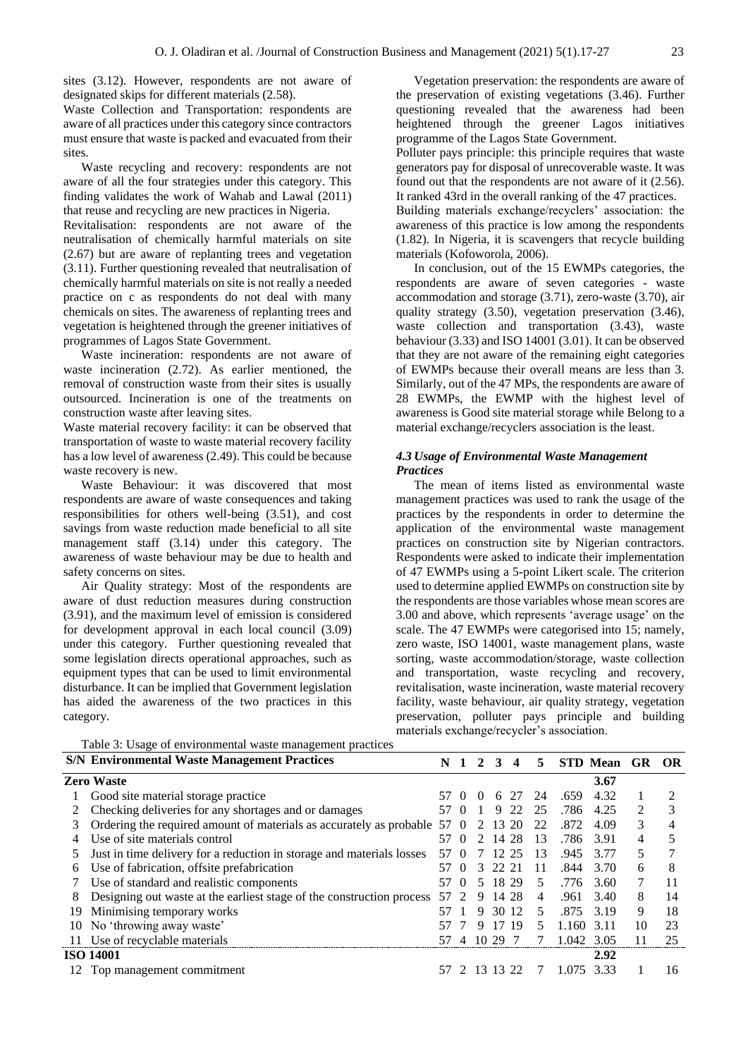sites (3.12). However, respondents are not aware of designated skips for different materials (2.58).

Waste Collection and Transportation: respondents are aware of all practices under this category since contractors must ensure that waste is packed and evacuated from their sites.

Waste recycling and recovery: respondents are not aware of all the four strategies under this category. This finding validates the work of Wahab and Lawal (2011) that reuse and recycling are new practices in Nigeria.

Revitalisation: respondents are not aware of the neutralisation of chemically harmful materials on site (2.67) but are aware of replanting trees and vegetation (3.11). Further questioning revealed that neutralisation of chemically harmful materials on site is not really a needed practice on c as respondents do not deal with many chemicals on sites. The awareness of replanting trees and vegetation is heightened through the greener initiatives of programmes of Lagos State Government.

Waste incineration: respondents are not aware of waste incineration (2.72). As earlier mentioned, the removal of construction waste from their sites is usually outsourced. Incineration is one of the treatments on construction waste after leaving sites.

Waste material recovery facility: it can be observed that transportation of waste to waste material recovery facility has a low level of awareness (2.49). This could be because waste recovery is new.

Waste Behaviour: it was discovered that most respondents are aware of waste consequences and taking responsibilities for others well-being (3.51), and cost savings from waste reduction made beneficial to all site management staff (3.14) under this category. The awareness of waste behaviour may be due to health and safety concerns on sites.

Air Quality strategy: Most of the respondents are aware of dust reduction measures during construction (3.91), and the maximum level of emission is considered for development approval in each local council (3.09) under this category. Further questioning revealed that some legislation directs operational approaches, such as equipment types that can be used to limit environmental disturbance. It can be implied that Government legislation has aided the awareness of the two practices in this category.

Vegetation preservation: the respondents are aware of the preservation of existing vegetations (3.46). Further questioning revealed that the awareness had been heightened through the greener Lagos initiatives programme of the Lagos State Government.

Polluter pays principle: this principle requires that waste generators pay for disposal of unrecoverable waste. It was found out that the respondents are not aware of it (2.56). It ranked 43rd in the overall ranking of the 47 practices.

Building materials exchange/recyclers' association: the awareness of this practice is low among the respondents (1.82). In Nigeria, it is scavengers that recycle building materials (Kofoworola, 2006).

In conclusion, out of the 15 EWMPs categories, the respondents are aware of seven categories - waste accommodation and storage (3.71), zero-waste (3.70), air quality strategy (3.50), vegetation preservation (3.46), waste collection and transportation (3.43), waste behaviour (3.33) and ISO 14001 (3.01). It can be observed that they are not aware of the remaining eight categories of EWMPs because their overall means are less than 3. Similarly, out of the 47 MPs, the respondents are aware of 28 EWMPs, the EWMP with the highest level of awareness is Good site material storage while Belong to a material exchange/recyclers association is the least.

## *4.3 Usage of Environmental Waste Management Practices*

The mean of items listed as environmental waste management practices was used to rank the usage of the practices by the respondents in order to determine the application of the environmental waste management practices on construction site by Nigerian contractors. Respondents were asked to indicate their implementation of 47 EWMPs using a 5-point Likert scale. The criterion used to determine applied EWMPs on construction site by the respondents are those variables whose mean scores are 3.00 and above, which represents 'average usage' on the scale. The 47 EWMPs were categorised into 15; namely, zero waste, ISO 14001, waste management plans, waste sorting, waste accommodation/storage, waste collection and transportation, waste recycling and recovery, revitalisation, waste incineration, waste material recovery facility, waste behaviour, air quality strategy, vegetation preservation, polluter pays principle and building materials exchange/recycler's association.

|    | Table 3: Usage of environmental waste management practices            |                |                             |              |              |                         |    |       |             |    |     |
|----|-----------------------------------------------------------------------|----------------|-----------------------------|--------------|--------------|-------------------------|----|-------|-------------|----|-----|
|    | <b>S/N Environmental Waste Management Practices</b>                   | N <sub>1</sub> |                             | $\mathbf{2}$ | $\mathbf{3}$ | $\overline{\mathbf{4}}$ | 5  |       | STD Mean GR |    | OR. |
|    | <b>Zero Waste</b>                                                     |                |                             |              |              |                         |    |       | 3.67        |    |     |
|    | Good site material storage practice                                   | 57.            | $\Omega$                    | $\theta$     | 6            | 27                      | 24 | .659  | 4.32        |    |     |
|    | Checking deliveries for any shortages and or damages                  |                | $\Omega$                    |              | 9            | 22                      | 25 | .786  | 4.25        | 2  | 3   |
| 3  | Ordering the required amount of materials as accurately as probable   | 57             |                             |              | 13           | 20                      | 22 | .872  | 4.09        | 3  | 4   |
|    | Use of site materials control                                         | 57             |                             |              |              | 14 28                   | 13 | .786  | 3.91        | 4  |     |
|    | Just in time delivery for a reduction in storage and materials losses | 57             |                             |              |              | 12 25                   | 13 | .945  | 3.77        | 5  |     |
| 6  | Use of fabrication, offsite prefabrication                            |                | $\Omega$                    | 3            | 22 21        |                         | 11 | .844  | 3.70        | 6  | 8   |
|    | Use of standard and realistic components                              | $\gamma$       | $\theta$                    | 5            |              | 18 29                   | 5  | .776  | 3.60        | 7  | 11  |
| 8  | Designing out waste at the earliest stage of the construction process | 57             | $\mathcal{D}_{\mathcal{L}}$ | 9            |              | 14 28                   | 4  | .961  | 3.40        | 8  | 14  |
| 19 | Minimising temporary works                                            |                |                             | 9            |              | 30 12                   | 5. | .875  | 3.19        | 9  | 18  |
| 10 | No 'throwing away waste'                                              |                |                             | 9            | 17           | 19                      | 5  | 1.160 | 3.11        | 10 | 23  |
|    | 11 Use of recyclable materials                                        | 57             | 4                           |              | 10 29        |                         |    | 1.042 | 3.05        |    | 25  |
|    | <b>ISO 14001</b>                                                      |                |                             |              |              |                         |    |       | 2.92        |    |     |
|    | Top management commitment                                             |                |                             |              |              | 2 13 13 22              | 7  | 1.075 | 333         |    | 16  |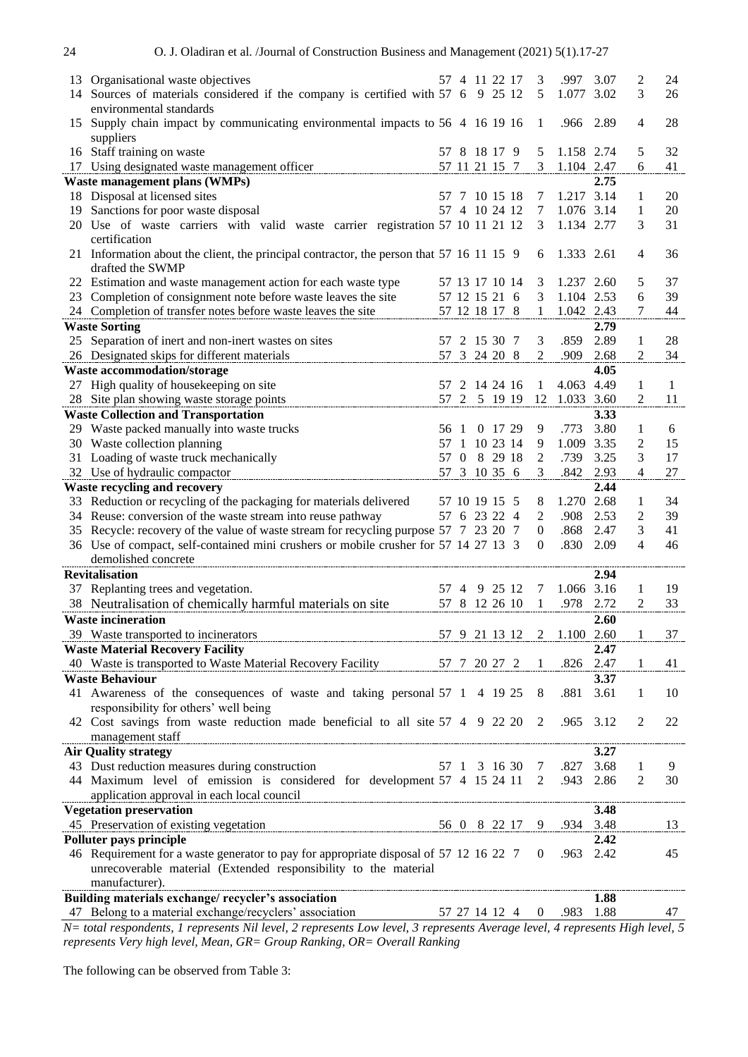| 13 | Organisational waste objectives                                                                                    | 57           | 4              |   | 11 22 17                 |               | 3              | .997                | 3.07         | 2              | 24       |
|----|--------------------------------------------------------------------------------------------------------------------|--------------|----------------|---|--------------------------|---------------|----------------|---------------------|--------------|----------------|----------|
| 14 | Sources of materials considered if the company is certified with 57 6 9 25 12                                      |              |                |   |                          |               | 5              | 1.077               | 3.02         | 3              | 26       |
|    | environmental standards                                                                                            |              |                |   |                          |               |                |                     |              |                |          |
| 15 | Supply chain impact by communicating environmental impacts to 56 4 16 19 16                                        |              |                |   |                          |               | 1              | .966 2.89           |              | $\overline{4}$ | 28       |
|    | suppliers                                                                                                          |              |                |   |                          |               |                |                     |              |                |          |
|    | 16 Staff training on waste                                                                                         |              |                |   | 57 8 18 17 9             |               | 5              | 1.158 2.74          |              | 5              | 32       |
|    | 17 Using designated waste management officer                                                                       |              |                |   | 57 11 21 15 7            |               | 3              | 1.104 2.47          |              | 6              | 41       |
|    | Waste management plans (WMPs)                                                                                      |              |                |   |                          |               |                |                     | 2.75         |                |          |
|    | 18 Disposal at licensed sites                                                                                      | 57           |                |   | 7 10 15 18<br>4 10 24 12 |               | 7              | 1.217<br>1.076 3.14 | 3.14         | 1              | 20       |
| 19 | Sanctions for poor waste disposal<br>20 Use of waste carriers with valid waste carrier registration 57 10 11 21 12 | 57           |                |   |                          |               | 7<br>3         | 1.134 2.77          |              | 1<br>3         | 20<br>31 |
|    | certification                                                                                                      |              |                |   |                          |               |                |                     |              |                |          |
|    | 21 Information about the client, the principal contractor, the person that 57 16 11 15 9                           |              |                |   |                          |               | 6              | 1.333               | 2.61         | 4              | 36       |
|    | drafted the SWMP                                                                                                   |              |                |   |                          |               |                |                     |              |                |          |
|    | 22 Estimation and waste management action for each waste type                                                      |              |                |   | 57 13 17 10 14           |               | 3              | 1.237 2.60          |              | 5              | 37       |
| 23 | Completion of consignment note before waste leaves the site                                                        |              |                |   | 57 12 15 21 6            |               | 3              | 1.104 2.53          |              | 6              | 39       |
|    | 24 Completion of transfer notes before waste leaves the site                                                       |              |                |   | 57 12 18 17 8            |               | 1              | 1.042 2.43          |              | 7              | 44       |
|    | <b>Waste Sorting</b>                                                                                               |              |                |   |                          |               |                |                     | 2.79         |                |          |
| 25 | Separation of inert and non-inert wastes on sites                                                                  | 57           |                |   | 2 15 30 7                |               | 3              | .859                | 2.89         | 1              | 28       |
|    | 26 Designated skips for different materials                                                                        |              |                |   | 57 3 24 20 8             |               | 2              | .909                | 2.68         | 2              | 34       |
|    | <b>Waste accommodation/storage</b>                                                                                 |              |                |   |                          |               |                |                     | 4.05         |                |          |
|    | 27 High quality of housekeeping on site                                                                            | 57           |                |   | 2 14 24 16               |               | 1              | 4.063               | 4.49         | 1              | 1        |
|    | 28 Site plan showing waste storage points                                                                          |              |                |   | 57 2 5 19 19             |               | 12             | 1.033 3.60          |              | 2              | 11       |
|    | <b>Waste Collection and Transportation</b>                                                                         |              |                |   |                          |               |                |                     | 3.33         |                |          |
|    | 29 Waste packed manually into waste trucks                                                                         | 56           |                |   | 0 17 29                  |               | 9              | .773                | 3.80         | 1              | 6        |
|    | 30 Waste collection planning                                                                                       | 57           | -1             |   | 10 23 14                 |               | 9              | 1.009               | 3.35         | 2              | 15       |
|    | 31 Loading of waste truck mechanically                                                                             | 57           | $\overline{0}$ | 8 | 29 18                    |               | 2<br>3         | .739<br>.842        | 3.25         | 3<br>4         | 17<br>27 |
|    | 32 Use of hydraulic compactor                                                                                      |              |                |   | 57 3 10 35 6             |               |                |                     | 2.93<br>2.44 |                |          |
|    | <b>Waste recycling and recovery</b><br>33 Reduction or recycling of the packaging for materials delivered          |              |                |   | 57 10 19 15 5            |               | 8              | 1.270               | 2.68         | 1              | 34       |
|    | 34 Reuse: conversion of the waste stream into reuse pathway                                                        |              |                |   | 57 6 23 22 4             |               | $\overline{2}$ | .908                | 2.53         | 2              | 39       |
|    | 35 Recycle: recovery of the value of waste stream for recycling purpose 57 7 23 20 7                               |              |                |   |                          |               | $\overline{0}$ | .868                | 2.47         | 3              | 41       |
|    | 36 Use of compact, self-contained mini crushers or mobile crusher for 57 14 27 13 3                                |              |                |   |                          |               | 0              | .830                | 2.09         | 4              | 46       |
|    | demolished concrete                                                                                                |              |                |   |                          |               |                |                     |              |                |          |
|    | <b>Revitalisation</b>                                                                                              |              |                |   |                          |               |                |                     | 2.94         |                |          |
|    | 37 Replanting trees and vegetation.                                                                                | 57           | $\overline{4}$ | 9 | 25 12                    |               | 7              | 1.066               | 3.16         | 1              | 19       |
|    | 38 Neutralisation of chemically harmful materials on site                                                          |              |                |   | 57 8 12 26 10            |               | 1              | .978                | 2.72         | 2              | 33       |
|    | <b>Waste incineration</b>                                                                                          |              |                |   |                          |               |                |                     | 2.60         |                |          |
|    | 39 Waste transported to incinerators                                                                               |              |                |   | 57 9 21 13 12            |               |                | 1.100 2.60          |              |                | 37       |
|    | <b>Waste Material Recovery Facility</b>                                                                            |              |                |   |                          |               |                |                     | 2.47         |                |          |
|    | 40 Waste is transported to Waste Material Recovery Facility                                                        | 57 7 20 27 2 |                |   |                          |               | 1              | .826                | 2.47         | 1              | 41       |
|    | <b>Waste Behaviour</b>                                                                                             |              |                |   |                          |               |                |                     | 3.37         |                |          |
|    | 41 Awareness of the consequences of waste and taking personal 57 1 4 19 25                                         |              |                |   |                          |               | 8              | .881                | 3.61         | 1              | 10       |
|    | responsibility for others' well being                                                                              |              |                |   |                          |               |                |                     |              |                |          |
|    | 42 Cost savings from waste reduction made beneficial to all site 57 4 9 22 20                                      |              |                |   |                          |               | 2              | .965                | 3.12         | 2              | 22       |
|    | management staff<br><b>Air Quality strategy</b>                                                                    |              |                |   |                          |               |                |                     | 3.27         |                |          |
|    | 43 Dust reduction measures during construction                                                                     |              |                |   | 57 1 3 16 30             |               | 7              | .827                | 3.68         | 1              | 9        |
|    | 44 Maximum level of emission is considered for development 57 4 15 24 11                                           |              |                |   |                          |               | 2              | .943                | 2.86         | 2              | 30       |
|    | application approval in each local council                                                                         |              |                |   |                          |               |                |                     |              |                |          |
|    | <b>Vegetation preservation</b>                                                                                     |              |                |   |                          |               |                |                     | 3.48         |                |          |
|    | 45 Preservation of existing vegetation<br>$56 \t0 \t8 \t22 \t17$                                                   |              |                |   |                          |               | 9.             | .934 3.48           |              |                | 13       |
|    | Polluter pays principle                                                                                            |              |                |   |                          |               |                |                     | 2.42         |                |          |
|    | 46 Requirement for a waste generator to pay for appropriate disposal of 57 12 16 22 7                              |              |                |   |                          |               | $\theta$       | .963 2.42           |              |                | 45       |
|    | unrecoverable material (Extended responsibility to the material                                                    |              |                |   |                          |               |                |                     |              |                |          |
|    | manufacturer).                                                                                                     |              |                |   |                          |               |                |                     |              |                |          |
|    | Building materials exchange/recycler's association                                                                 |              |                |   |                          |               |                |                     | 1.88         |                |          |
|    | 47 Belong to a material exchange/recyclers' association                                                            |              |                |   |                          | 57 27 14 12 4 |                | 0 .983              | 1.88         |                | 47       |

*N= total respondents, 1 represents Nil level, 2 represents Low level, 3 represents Average level, 4 represents High level, 5 represents Very high level, Mean, GR= Group Ranking, OR= Overall Ranking*

The following can be observed from Table 3: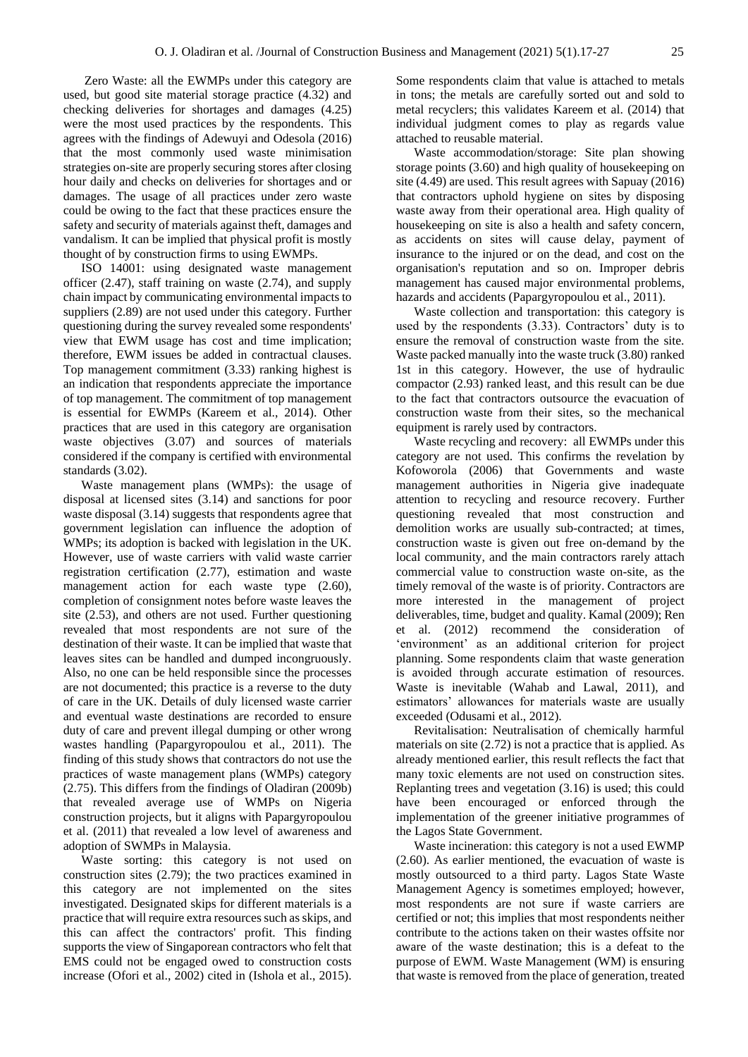Zero Waste: all the EWMPs under this category are used, but good site material storage practice (4.32) and checking deliveries for shortages and damages (4.25) were the most used practices by the respondents. This agrees with the findings of Adewuyi and Odesola (2016) that the most commonly used waste minimisation strategies on-site are properly securing stores after closing hour daily and checks on deliveries for shortages and or damages. The usage of all practices under zero waste could be owing to the fact that these practices ensure the safety and security of materials against theft, damages and vandalism. It can be implied that physical profit is mostly thought of by construction firms to using EWMPs.

ISO 14001: using designated waste management officer (2.47), staff training on waste (2.74), and supply chain impact by communicating environmental impacts to suppliers (2.89) are not used under this category. Further questioning during the survey revealed some respondents' view that EWM usage has cost and time implication; therefore, EWM issues be added in contractual clauses. Top management commitment (3.33) ranking highest is an indication that respondents appreciate the importance of top management. The commitment of top management is essential for EWMPs (Kareem et al., 2014). Other practices that are used in this category are organisation waste objectives (3.07) and sources of materials considered if the company is certified with environmental standards (3.02).

Waste management plans (WMPs): the usage of disposal at licensed sites (3.14) and sanctions for poor waste disposal (3.14) suggests that respondents agree that government legislation can influence the adoption of WMPs; its adoption is backed with legislation in the UK. However, use of waste carriers with valid waste carrier registration certification (2.77), estimation and waste management action for each waste type  $(2.60)$ , completion of consignment notes before waste leaves the site (2.53), and others are not used. Further questioning revealed that most respondents are not sure of the destination of their waste. It can be implied that waste that leaves sites can be handled and dumped incongruously. Also, no one can be held responsible since the processes are not documented; this practice is a reverse to the duty of care in the UK. Details of duly licensed waste carrier and eventual waste destinations are recorded to ensure duty of care and prevent illegal dumping or other wrong wastes handling (Papargyropoulou et al., 2011). The finding of this study shows that contractors do not use the practices of waste management plans (WMPs) category (2.75). This differs from the findings of Oladiran (2009b) that revealed average use of WMPs on Nigeria construction projects, but it aligns with Papargyropoulou et al. (2011) that revealed a low level of awareness and adoption of SWMPs in Malaysia.

Waste sorting: this category is not used on construction sites (2.79); the two practices examined in this category are not implemented on the sites investigated. Designated skips for different materials is a practice that will require extra resources such as skips, and this can affect the contractors' profit. This finding supports the view of Singaporean contractors who felt that EMS could not be engaged owed to construction costs increase (Ofori et al., 2002) cited in (Ishola et al., 2015).

Some respondents claim that value is attached to metals in tons; the metals are carefully sorted out and sold to metal recyclers; this validates Kareem et al. (2014) that individual judgment comes to play as regards value attached to reusable material.

Waste accommodation/storage: Site plan showing storage points (3.60) and high quality of housekeeping on site (4.49) are used. This result agrees with Sapuay (2016) that contractors uphold hygiene on sites by disposing waste away from their operational area. High quality of housekeeping on site is also a health and safety concern, as accidents on sites will cause delay, payment of insurance to the injured or on the dead, and cost on the organisation's reputation and so on. Improper debris management has caused major environmental problems, hazards and accidents (Papargyropoulou et al., 2011).

Waste collection and transportation: this category is used by the respondents (3.33). Contractors' duty is to ensure the removal of construction waste from the site. Waste packed manually into the waste truck (3.80) ranked 1st in this category. However, the use of hydraulic compactor (2.93) ranked least, and this result can be due to the fact that contractors outsource the evacuation of construction waste from their sites, so the mechanical equipment is rarely used by contractors.

Waste recycling and recovery: all EWMPs under this category are not used. This confirms the revelation by Kofoworola (2006) that Governments and waste management authorities in Nigeria give inadequate attention to recycling and resource recovery. Further questioning revealed that most construction and demolition works are usually sub-contracted; at times, construction waste is given out free on-demand by the local community, and the main contractors rarely attach commercial value to construction waste on-site, as the timely removal of the waste is of priority. Contractors are more interested in the management of project deliverables, time, budget and quality. Kamal (2009); Ren et al. (2012) recommend the consideration of 'environment' as an additional criterion for project planning. Some respondents claim that waste generation is avoided through accurate estimation of resources. Waste is inevitable (Wahab and Lawal, 2011), and estimators' allowances for materials waste are usually exceeded (Odusami et al., 2012).

Revitalisation: Neutralisation of chemically harmful materials on site (2.72) is not a practice that is applied. As already mentioned earlier, this result reflects the fact that many toxic elements are not used on construction sites. Replanting trees and vegetation (3.16) is used; this could have been encouraged or enforced through the implementation of the greener initiative programmes of the Lagos State Government.

Waste incineration: this category is not a used EWMP (2.60). As earlier mentioned, the evacuation of waste is mostly outsourced to a third party. Lagos State Waste Management Agency is sometimes employed; however, most respondents are not sure if waste carriers are certified or not; this implies that most respondents neither contribute to the actions taken on their wastes offsite nor aware of the waste destination; this is a defeat to the purpose of EWM. Waste Management (WM) is ensuring that waste is removed from the place of generation, treated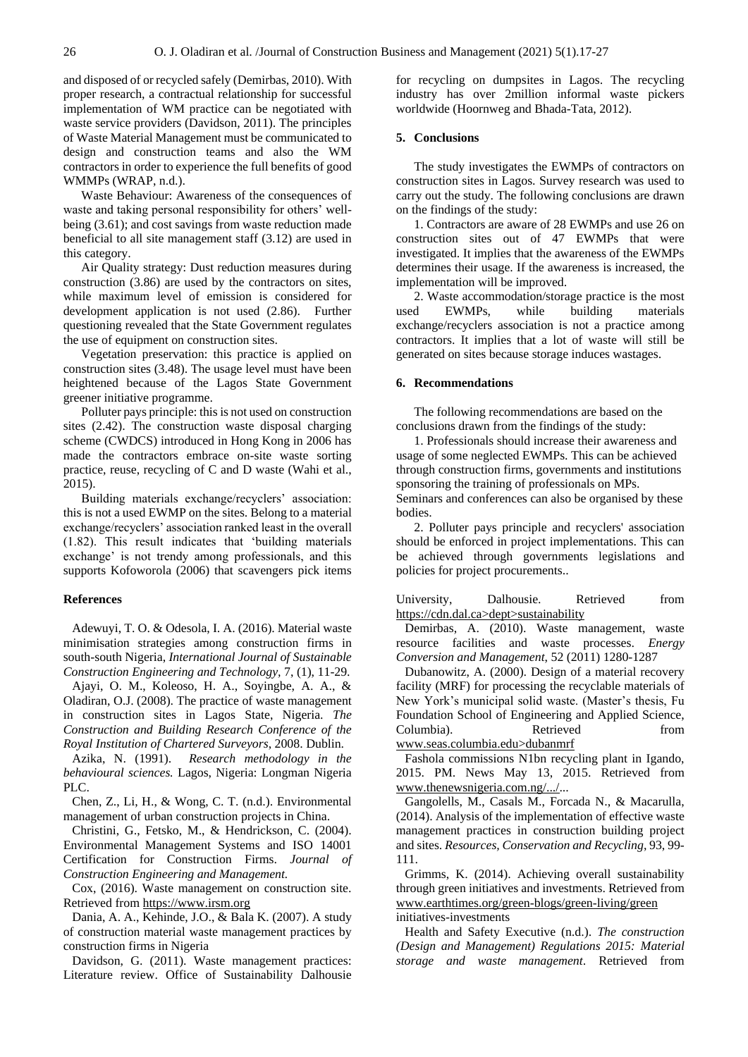and disposed of or recycled safely (Demirbas, 2010). With proper research, a contractual relationship for successful implementation of WM practice can be negotiated with waste service providers (Davidson, 2011). The principles of Waste Material Management must be communicated to design and construction teams and also the WM contractors in order to experience the full benefits of good WMMPs (WRAP, n.d.).

Waste Behaviour: Awareness of the consequences of waste and taking personal responsibility for others' wellbeing (3.61); and cost savings from waste reduction made beneficial to all site management staff (3.12) are used in this category.

Air Quality strategy: Dust reduction measures during construction (3.86) are used by the contractors on sites, while maximum level of emission is considered for development application is not used (2.86). Further questioning revealed that the State Government regulates the use of equipment on construction sites.

Vegetation preservation: this practice is applied on construction sites (3.48). The usage level must have been heightened because of the Lagos State Government greener initiative programme.

Polluter pays principle: this is not used on construction sites (2.42). The construction waste disposal charging scheme (CWDCS) introduced in Hong Kong in 2006 has made the contractors embrace on-site waste sorting practice, reuse, recycling of C and D waste (Wahi et al., 2015).

Building materials exchange/recyclers' association: this is not a used EWMP on the sites. Belong to a material exchange/recyclers' association ranked least in the overall (1.82). This result indicates that 'building materials exchange' is not trendy among professionals, and this supports Kofoworola (2006) that scavengers pick items

## **References**

Adewuyi, T. O. & Odesola, I. A. (2016). Material waste minimisation strategies among construction firms in south-south Nigeria, *International Journal of Sustainable Construction Engineering and Technology,* 7, (1), 11-29.

Ajayi, O. M., Koleoso, H. A., Soyingbe, A. A., & Oladiran, O.J. (2008). The practice of waste management in construction sites in Lagos State, Nigeria. *The Construction and Building Research Conference of the Royal Institution of Chartered Surveyors*, 2008. Dublin.

Azika, N. (1991). *Research methodology in the behavioural sciences.* Lagos, Nigeria: Longman Nigeria PLC.

Chen, Z., Li, H., & Wong, C. T. (n.d.). Environmental management of urban construction projects in China.

Christini, G., Fetsko, M., & Hendrickson, C. (2004). Environmental Management Systems and ISO 14001 Certification for Construction Firms. *Journal of Construction Engineering and Management.*

Cox, (2016). Waste management on construction site. Retrieved fro[m https://www.irsm.org](https://www.irsm.org/)

Dania, A. A., Kehinde, J.O., & Bala K. (2007). A study of construction material waste management practices by construction firms in Nigeria

Davidson, G. (2011). Waste management practices: Literature review. Office of Sustainability Dalhousie for recycling on dumpsites in Lagos. The recycling industry has over 2million informal waste pickers worldwide (Hoornweg and Bhada-Tata, 2012).

#### **5. Conclusions**

The study investigates the EWMPs of contractors on construction sites in Lagos. Survey research was used to carry out the study. The following conclusions are drawn on the findings of the study:

1. Contractors are aware of 28 EWMPs and use 26 on construction sites out of 47 EWMPs that were investigated. It implies that the awareness of the EWMPs determines their usage. If the awareness is increased, the implementation will be improved.

2. Waste accommodation/storage practice is the most used EWMPs, while building materials exchange/recyclers association is not a practice among contractors. It implies that a lot of waste will still be generated on sites because storage induces wastages.

## **6. Recommendations**

The following recommendations are based on the conclusions drawn from the findings of the study:

1. Professionals should increase their awareness and usage of some neglected EWMPs. This can be achieved through construction firms, governments and institutions sponsoring the training of professionals on MPs. Seminars and conferences can also be organised by these bodies.

2. Polluter pays principle and recyclers' association should be enforced in project implementations. This can be achieved through governments legislations and policies for project procurements..

University, Dalhousie. Retrieved from https://cdn.dal.ca>dept>sustainability

Demirbas, A. (2010). Waste management, waste resource facilities and waste processes. *Energy Conversion and Management*, 52 (2011) 1280-1287

Dubanowitz, A. (2000). Design of a material recovery facility (MRF) for processing the recyclable materials of New York's municipal solid waste. (Master's thesis, Fu Foundation School of Engineering and Applied Science, Columbia). Retrieved from www.seas.columbia.edu>dubanmrf

Fashola commissions N1bn recycling plant in Igando, 2015. PM. News May 13, 2015. Retrieved from [www.thenewsnigeria.com.ng/.../..](http://www.thenewsnigeria.com.ng/.../).

Gangolells, M., Casals M., Forcada N., & Macarulla, (2014). Analysis of the implementation of effective waste management practices in construction building project and sites. *Resources, Conservation and Recycling*, 93, 99- 111.

Grimms, K. (2014). Achieving overall sustainability through green initiatives and investments. Retrieved from [www.earthtimes.org/green-blogs/green-living/green](http://www.earthtimes.org/green-blogs/green-living/green) initiatives-investments

Health and Safety Executive (n.d.). *The construction (Design and Management) Regulations 2015: Material storage and waste management*. Retrieved from